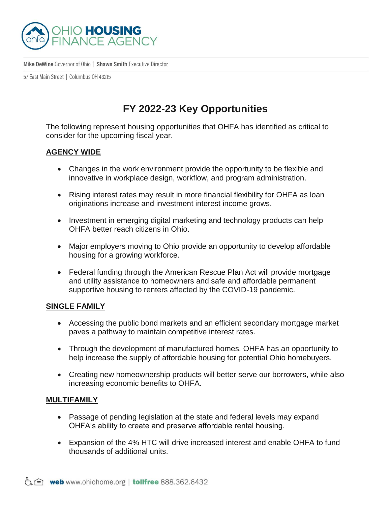

Mike DeWine Governor of Ohio | Shawn Smith Executive Director

57 East Main Street | Columbus 0H 43215

## **FY 2022-23 Key Opportunities**

The following represent housing opportunities that OHFA has identified as critical to consider for the upcoming fiscal year.

## **AGENCY WIDE**

- Changes in the work environment provide the opportunity to be flexible and innovative in workplace design, workflow, and program administration.
- Rising interest rates may result in more financial flexibility for OHFA as loan originations increase and investment interest income grows.
- Investment in emerging digital marketing and technology products can help OHFA better reach citizens in Ohio.
- Major employers moving to Ohio provide an opportunity to develop affordable housing for a growing workforce.
- Federal funding through the American Rescue Plan Act will provide mortgage and utility assistance to homeowners and safe and affordable permanent supportive housing to renters affected by the COVID-19 pandemic.

## **SINGLE FAMILY**

- Accessing the public bond markets and an efficient secondary mortgage market paves a pathway to maintain competitive interest rates.
- Through the development of manufactured homes, OHFA has an opportunity to help increase the supply of affordable housing for potential Ohio homebuyers.
- Creating new homeownership products will better serve our borrowers, while also increasing economic benefits to OHFA.

## **MULTIFAMILY**

- Passage of pending legislation at the state and federal levels may expand OHFA's ability to create and preserve affordable rental housing.
- Expansion of the 4% HTC will drive increased interest and enable OHFA to fund thousands of additional units.